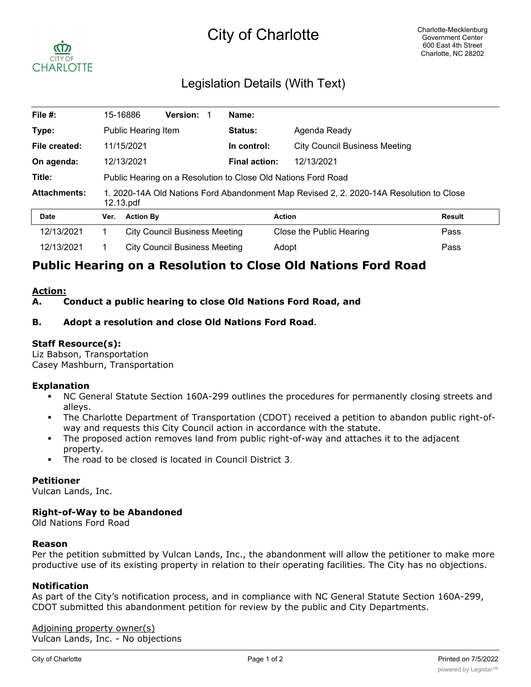# City of Charlotte



# Legislation Details (With Text)

| File #:             |                                                                                                      | 15-16886                             | Version:                             |  | Name:         |                                      |               |  |
|---------------------|------------------------------------------------------------------------------------------------------|--------------------------------------|--------------------------------------|--|---------------|--------------------------------------|---------------|--|
| Type:               |                                                                                                      | Public Hearing Item                  |                                      |  | Status:       | Agenda Ready                         |               |  |
| File created:       |                                                                                                      | 11/15/2021                           |                                      |  | In control:   | <b>City Council Business Meeting</b> |               |  |
| On agenda:          |                                                                                                      | 12/13/2021                           |                                      |  | Final action: | 12/13/2021                           |               |  |
| Title:              | Public Hearing on a Resolution to Close Old Nations Ford Road                                        |                                      |                                      |  |               |                                      |               |  |
| <b>Attachments:</b> | 1. 2020-14A Old Nations Ford Abandonment Map Revised 2, 2. 2020-14A Resolution to Close<br>12.13.pdf |                                      |                                      |  |               |                                      |               |  |
| <b>Date</b>         | Ver.                                                                                                 | <b>Action By</b>                     |                                      |  |               | <b>Action</b>                        | <b>Result</b> |  |
| 12/13/2021          |                                                                                                      |                                      | <b>City Council Business Meeting</b> |  |               | Close the Public Hearing             | Pass          |  |
| 12/13/2021          |                                                                                                      | <b>City Council Business Meeting</b> |                                      |  |               | Pass<br>Adopt                        |               |  |

# **Public Hearing on a Resolution to Close Old Nations Ford Road**

#### **Action:**

## **A. Conduct a public hearing to close Old Nations Ford Road, and**

## **B. Adopt a resolution and close Old Nations Ford Road.**

#### **Staff Resource(s):**

Liz Babson, Transportation Casey Mashburn, Transportation

#### **Explanation**

- § NC General Statute Section 160A-299 outlines the procedures for permanently closing streets and alleys.
- The Charlotte Department of Transportation (CDOT) received a petition to abandon public right-ofway and requests this City Council action in accordance with the statute.
- The proposed action removes land from public right-of-way and attaches it to the adjacent property.
- The road to be closed is located in Council District 3.

#### **Petitioner**

Vulcan Lands, Inc.

#### **Right-of-Way to be Abandoned**

Old Nations Ford Road

#### **Reason**

Per the petition submitted by Vulcan Lands, Inc., the abandonment will allow the petitioner to make more productive use of its existing property in relation to their operating facilities. The City has no objections.

#### **Notification**

As part of the City's notification process, and in compliance with NC General Statute Section 160A-299, CDOT submitted this abandonment petition for review by the public and City Departments.

Adjoining property owner(s) Vulcan Lands, Inc. - No objections